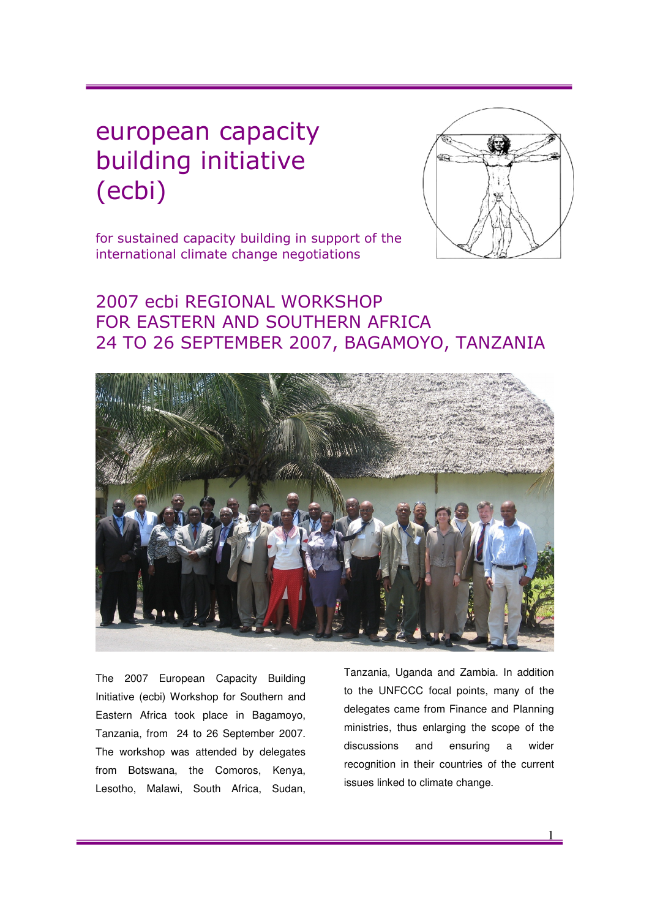# european capacity building initiative (ecbi)



for sustained capacity building in support of the international climate change negotiations

## 2007 ecbi REGIONAL WORKSHOP FOR EASTERN AND SOUTHERN AFRICA 24 TO 26 SEPTEMBER 2007, BAGAMOYO, TANZANIA



The 2007 European Capacity Building Initiative (ecbi) Workshop for Southern and Eastern Africa took place in Bagamoyo, Tanzania, from 24 to 26 September 2007. The workshop was attended by delegates from Botswana, the Comoros, Kenya, Lesotho, Malawi, South Africa, Sudan,

Tanzania, Uganda and Zambia. In addition to the UNFCCC focal points, many of the delegates came from Finance and Planning ministries, thus enlarging the scope of the discussions and ensuring a wider recognition in their countries of the current issues linked to climate change.

1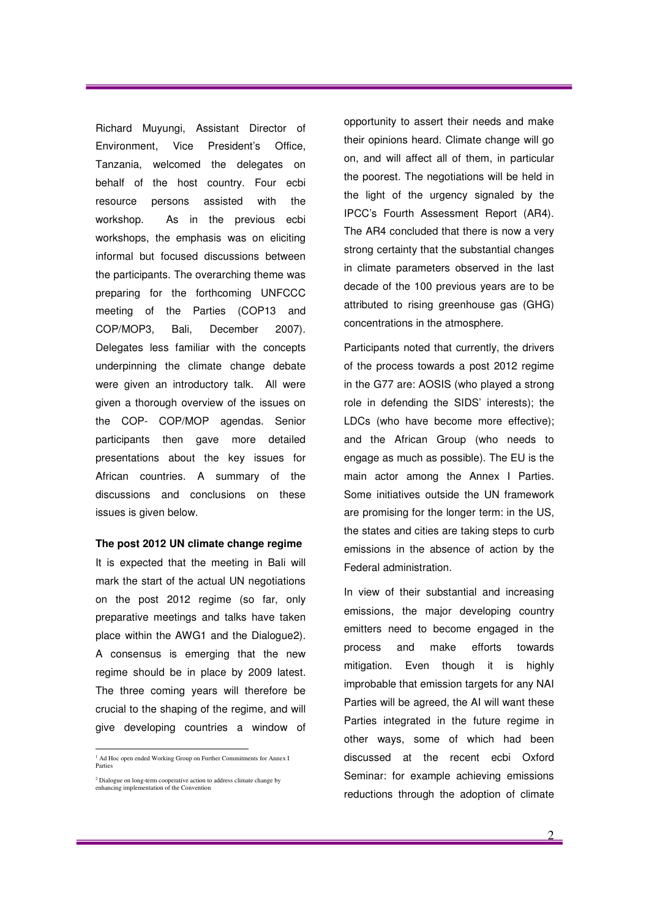Richard Muyungi, Assistant Director of Environment, Vice President's Office, Tanzania, welcomed the delegates on behalf of the host country. Four ecbi resource persons assisted with the workshop. As in the previous ecbi workshops, the emphasis was on eliciting informal but focused discussions between the participants. The overarching theme was preparing for the forthcoming UNFCCC meeting of the Parties (COP13 and COP/MOP3, Bali, December 2007). Delegates less familiar with the concepts underpinning the climate change debate were given an introductory talk. All were given a thorough overview of the issues on the COP- COP/MOP agendas. Senior participants then gave more detailed presentations about the key issues for African countries. A summary of the discussions and conclusions on these issues is given below.

#### **The post 2012 UN climate change regime**

It is expected that the meeting in Bali will mark the start of the actual UN negotiations on the post 2012 regime (so far, only preparative meetings and talks have taken place within the AWG1 and the Dialogue2). A consensus is emerging that the new regime should be in place by 2009 latest. The three coming years will therefore be crucial to the shaping of the regime, and will give developing countries a window of opportunity to assert their needs and make their opinions heard. Climate change will go on, and will affect all of them, in particular the poorest. The negotiations will be held in the light of the urgency signaled by the IPCC's Fourth Assessment Report (AR4). The AR4 concluded that there is now a very strong certainty that the substantial changes in climate parameters observed in the last decade of the 100 previous years are to be attributed to rising greenhouse gas (GHG) concentrations in the atmosphere.

Participants noted that currently, the drivers of the process towards a post 2012 regime in the G77 are: AOSIS (who played a strong role in defending the SIDS' interests); the LDCs (who have become more effective); and the African Group (who needs to engage as much as possible). The EU is the main actor among the Annex I Parties. Some initiatives outside the UN framework are promising for the longer term: in the US, the states and cities are taking steps to curb emissions in the absence of action by the Federal administration.

In view of their substantial and increasing emissions, the major developing country emitters need to become engaged in the process and make efforts towards mitigation. Even though it is highly improbable that emission targets for any NAI Parties will be agreed, the AI will want these Parties integrated in the future regime in other ways, some of which had been discussed at the recent ecbi Oxford Seminar: for example achieving emissions reductions through the adoption of climate

 1 Ad Hoc open ended Working Group on Further Commitments for Annex I Parties

<sup>2</sup> Dialogue on long-term cooperative action to address climate change by enhancing implementation of the Convention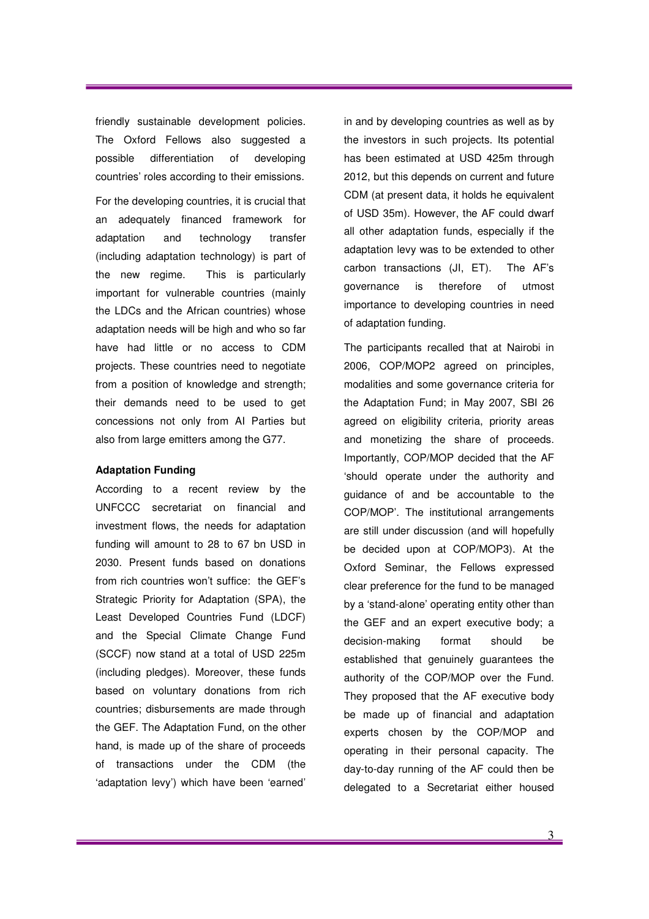friendly sustainable development policies. The Oxford Fellows also suggested a possible differentiation of developing countries' roles according to their emissions.

For the developing countries, it is crucial that an adequately financed framework for adaptation and technology transfer (including adaptation technology) is part of the new regime. This is particularly important for vulnerable countries (mainly the LDCs and the African countries) whose adaptation needs will be high and who so far have had little or no access to CDM projects. These countries need to negotiate from a position of knowledge and strength; their demands need to be used to get concessions not only from AI Parties but also from large emitters among the G77.

#### **Adaptation Funding**

According to a recent review by the UNFCCC secretariat on financial and investment flows, the needs for adaptation funding will amount to 28 to 67 bn USD in 2030. Present funds based on donations from rich countries won't suffice: the GEF's Strategic Priority for Adaptation (SPA), the Least Developed Countries Fund (LDCF) and the Special Climate Change Fund (SCCF) now stand at a total of USD 225m (including pledges). Moreover, these funds based on voluntary donations from rich countries; disbursements are made through the GEF. The Adaptation Fund, on the other hand, is made up of the share of proceeds of transactions under the CDM (the 'adaptation levy') which have been 'earned'

in and by developing countries as well as by the investors in such projects. Its potential has been estimated at USD 425m through 2012, but this depends on current and future CDM (at present data, it holds he equivalent of USD 35m). However, the AF could dwarf all other adaptation funds, especially if the adaptation levy was to be extended to other carbon transactions (JI, ET). The AF's governance is therefore of utmost importance to developing countries in need of adaptation funding.

The participants recalled that at Nairobi in 2006, COP/MOP2 agreed on principles, modalities and some governance criteria for the Adaptation Fund; in May 2007, SBI 26 agreed on eligibility criteria, priority areas and monetizing the share of proceeds. Importantly, COP/MOP decided that the AF 'should operate under the authority and guidance of and be accountable to the COP/MOP'. The institutional arrangements are still under discussion (and will hopefully be decided upon at COP/MOP3). At the Oxford Seminar, the Fellows expressed clear preference for the fund to be managed by a 'stand-alone' operating entity other than the GEF and an expert executive body; a decision-making format should be established that genuinely guarantees the authority of the COP/MOP over the Fund. They proposed that the AF executive body be made up of financial and adaptation experts chosen by the COP/MOP and operating in their personal capacity. The day-to-day running of the AF could then be delegated to a Secretariat either housed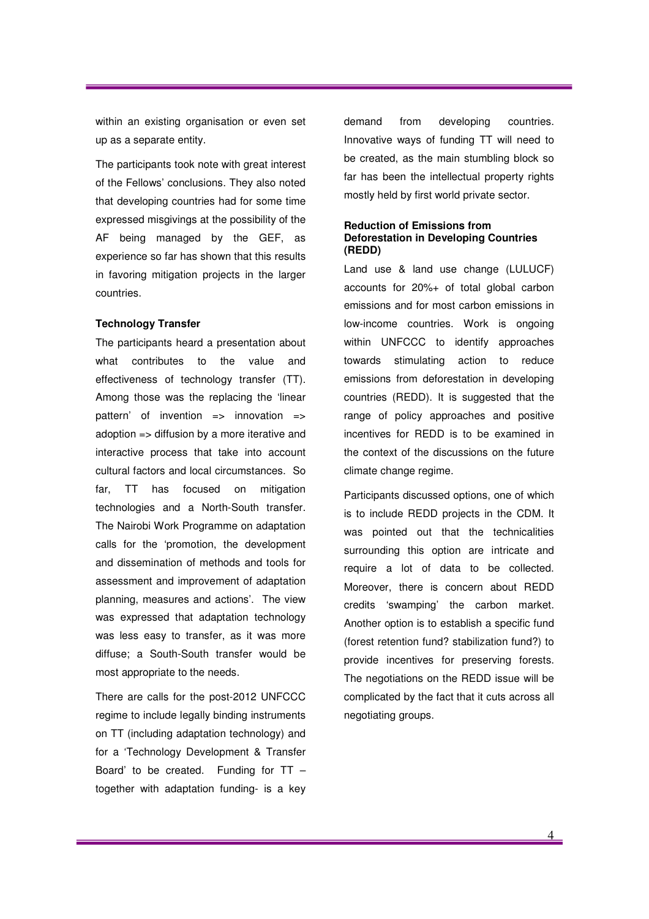within an existing organisation or even set up as a separate entity.

The participants took note with great interest of the Fellows' conclusions. They also noted that developing countries had for some time expressed misgivings at the possibility of the AF being managed by the GEF, as experience so far has shown that this results in favoring mitigation projects in the larger countries.

#### **Technology Transfer**

The participants heard a presentation about what contributes to the value and effectiveness of technology transfer (TT). Among those was the replacing the 'linear pattern' of invention  $\Rightarrow$  innovation  $\Rightarrow$ adoption => diffusion by a more iterative and interactive process that take into account cultural factors and local circumstances. So far, TT has focused on mitigation technologies and a North-South transfer. The Nairobi Work Programme on adaptation calls for the 'promotion, the development and dissemination of methods and tools for assessment and improvement of adaptation planning, measures and actions'. The view was expressed that adaptation technology was less easy to transfer, as it was more diffuse; a South-South transfer would be most appropriate to the needs.

There are calls for the post-2012 UNFCCC regime to include legally binding instruments on TT (including adaptation technology) and for a 'Technology Development & Transfer Board' to be created. Funding for TT – together with adaptation funding- is a key demand from developing countries. Innovative ways of funding TT will need to be created, as the main stumbling block so far has been the intellectual property rights mostly held by first world private sector.

#### **Reduction of Emissions from Deforestation in Developing Countries (REDD)**

Land use & land use change (LULUCF) accounts for 20%+ of total global carbon emissions and for most carbon emissions in low-income countries. Work is ongoing within UNFCCC to identify approaches towards stimulating action to reduce emissions from deforestation in developing countries (REDD). It is suggested that the range of policy approaches and positive incentives for REDD is to be examined in the context of the discussions on the future climate change regime.

Participants discussed options, one of which is to include REDD projects in the CDM. It was pointed out that the technicalities surrounding this option are intricate and require a lot of data to be collected. Moreover, there is concern about REDD credits 'swamping' the carbon market. Another option is to establish a specific fund (forest retention fund? stabilization fund?) to provide incentives for preserving forests. The negotiations on the REDD issue will be complicated by the fact that it cuts across all negotiating groups.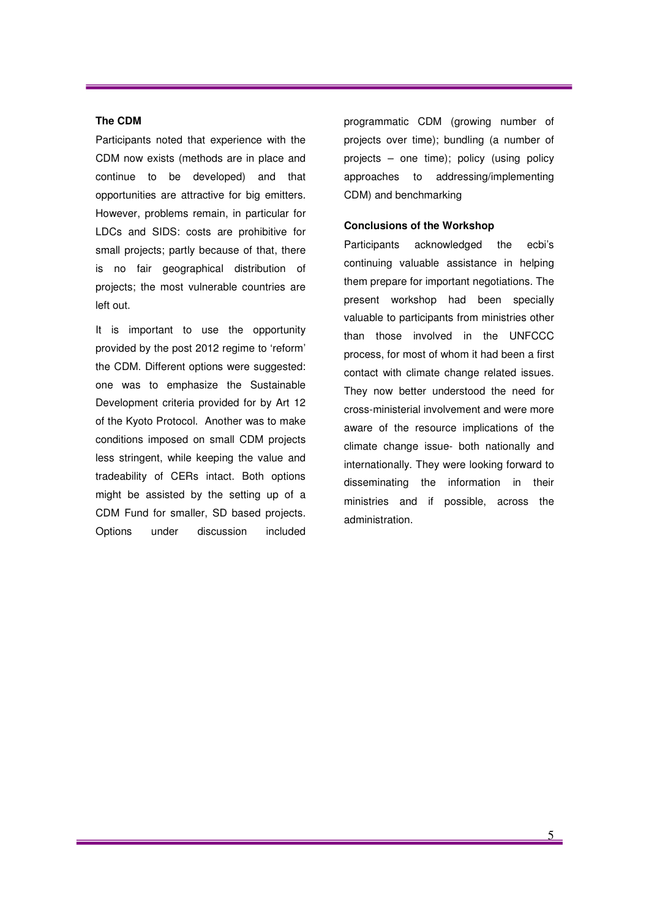### **The CDM**

Participants noted that experience with the CDM now exists (methods are in place and continue to be developed) and that opportunities are attractive for big emitters. However, problems remain, in particular for LDCs and SIDS: costs are prohibitive for small projects; partly because of that, there is no fair geographical distribution of projects; the most vulnerable countries are left out.

It is important to use the opportunity provided by the post 2012 regime to 'reform' the CDM. Different options were suggested: one was to emphasize the Sustainable Development criteria provided for by Art 12 of the Kyoto Protocol. Another was to make conditions imposed on small CDM projects less stringent, while keeping the value and tradeability of CERs intact. Both options might be assisted by the setting up of a CDM Fund for smaller, SD based projects. Options under discussion included

programmatic CDM (growing number of projects over time); bundling (a number of projects – one time); policy (using policy approaches to addressing/implementing CDM) and benchmarking

#### **Conclusions of the Workshop**

Participants acknowledged the ecbi's continuing valuable assistance in helping them prepare for important negotiations. The present workshop had been specially valuable to participants from ministries other than those involved in the UNFCCC process, for most of whom it had been a first contact with climate change related issues. They now better understood the need for cross-ministerial involvement and were more aware of the resource implications of the climate change issue- both nationally and internationally. They were looking forward to disseminating the information in their ministries and if possible, across the administration.